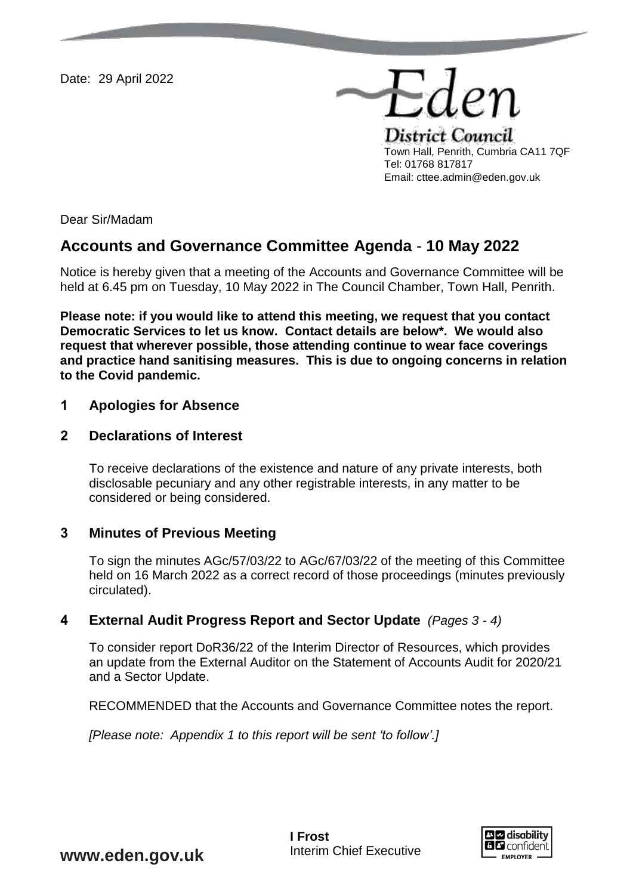Date: 29 April 2022

District Council Town Hall, Penrith, Cumbria CA11 7QF Tel: 01768 817817 Email: cttee.admin@eden.gov.uk

Eder

Dear Sir/Madam

# **Accounts and Governance Committee Agenda** - **10 May 2022**

Notice is hereby given that a meeting of the Accounts and Governance Committee will be held at 6.45 pm on Tuesday, 10 May 2022 in The Council Chamber, Town Hall, Penrith.

**Please note: if you would like to attend this meeting, we request that you contact Democratic Services to let us know. Contact details are below\*. We would also request that wherever possible, those attending continue to wear face coverings and practice hand sanitising measures. This is due to ongoing concerns in relation to the Covid pandemic.** 

#### **1 Apologies for Absence**

#### **2 Declarations of Interest**

To receive declarations of the existence and nature of any private interests, both disclosable pecuniary and any other registrable interests, in any matter to be considered or being considered.

## **3 Minutes of Previous Meeting**

To sign the minutes AGc/57/03/22 to AGc/67/03/22 of the meeting of this Committee held on 16 March 2022 as a correct record of those proceedings (minutes previously circulated).

## **4 External Audit Progress Report and Sector Update** *(Pages 3 - 4)*

To consider report DoR36/22 of the Interim Director of Resources, which provides an update from the External Auditor on the Statement of Accounts Audit for 2020/21 and a Sector Update.

RECOMMENDED that the Accounts and Governance Committee notes the report.

*[Please note: Appendix 1 to this report will be sent 'to follow'.]*